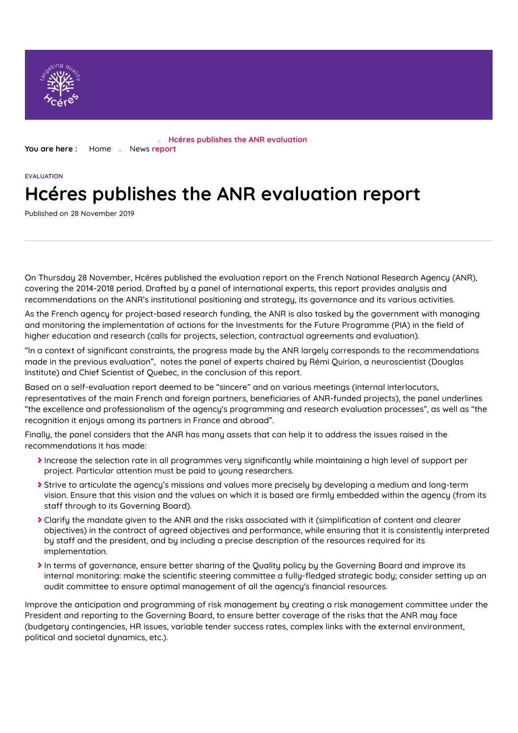

**You are here :** [Home](https://www.hceres.fr/en) a [News](https://www.hceres.fr/en/actualites) report **Hcéres publishes the ANR evaluation**

## **EVALUATION Hcéres publishes the ANR evaluation report**

Published on 28 November 2019

On Thursday 28 November, Hcéres published the evaluation report on the French National Research Agency (ANR), covering the 2014-2018 period. Drafted by a panel of international experts, this report provides analysis and recommendations on the ANR's institutional positioning and strategy, its governance and its various activities.

As the French agency for project-based research funding, the ANR is also tasked by the government with managing and monitoring the implementation of actions for the Investments for the Future Programme (PIA) in the field of higher education and research (calls for projects, selection, contractual agreements and evaluation).

"In a context of significant constraints, the progress made by the ANR largely corresponds to the recommendations made in the previous evaluation", notes the panel of experts chaired by Rémi Quirion, a neuroscientist (Douglas Institute) and Chief Scientist of Quebec, in the conclusion of this report.

Based on a self-evaluation report deemed to be "sincere" and on various meetings (internal interlocutors, representatives of the main French and foreign partners, beneficiaries of ANR-funded projects), the panel underlines "the excellence and professionalism of the agency's programming and research evaluation processes", as well as "the recognition it enjoys among its partners in France and abroad".

Finally, the panel considers that the ANR has many assets that can help it to address the issues raised in the recommendations it has made:

- Increase the selection rate in all programmes very significantly while maintaining a high level of support per project. Particular attention must be paid to young researchers.
- Strive to articulate the agency's missions and values more precisely by developing a medium and long-term vision. Ensure that this vision and the values on which it is based are firmly embedded within the agency (from its staff through to its Governing Board).
- $\blacktriangleright$  Clarify the mandate given to the ANR and the risks associated with it (simplification of content and clearer objectives) in the contract of agreed objectives and performance, while ensuring that it is consistently interpreted by staff and the president, and by including a precise description of the resources required for its implementation.
- In terms of governance, ensure better sharing of the Quality policy by the Governing Board and improve its internal monitoring: make the scientific steering committee a fully-fledged strategic body; consider setting up an audit committee to ensure optimal management of all the agency's financial resources.

Improve the anticipation and programming of risk management by creating a risk management committee under the President and reporting to the Governing Board, to ensure better coverage of the risks that the ANR may face (budgetary contingencies, HR issues, variable tender success rates, complex links with the external environment, political and societal dunamics, etc.).